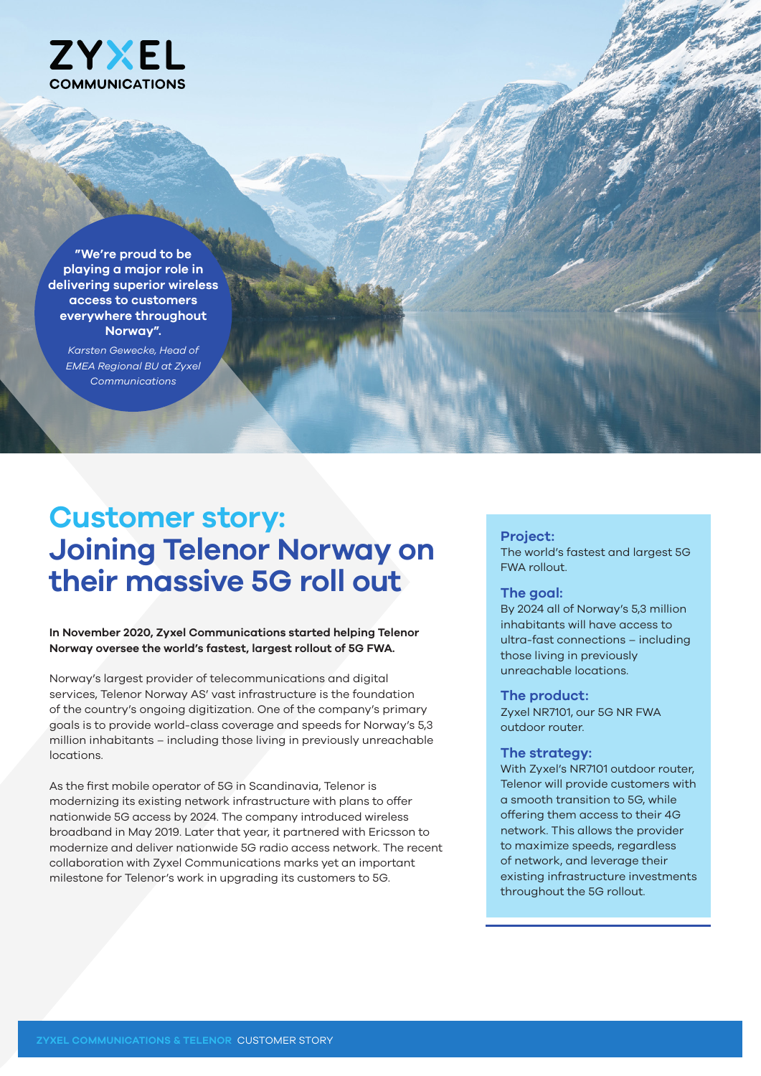

**"We're proud to be playing a major role in delivering superior wireless access to customers everywhere throughout Norway".** 

*Karsten Gewecke, Head of EMEA Regional BU at Zyxel Communications*

# **Customer story: Joining Telenor Norway on their massive 5G roll out**

## **In November 2020, Zyxel Communications started helping Telenor Norway oversee the world's fastest, largest rollout of 5G FWA.**

Norway's largest provider of telecommunications and digital services, Telenor Norway AS' vast infrastructure is the foundation of the country's ongoing digitization. One of the company's primary goals is to provide world-class coverage and speeds for Norway's 5,3 million inhabitants – including those living in previously unreachable locations.

As the first mobile operator of 5G in Scandinavia, Telenor is modernizing its existing network infrastructure with plans to offer nationwide 5G access by 2024. The company introduced wireless broadband in May 2019. Later that year, it partnered with Ericsson to modernize and deliver nationwide 5G radio access network. The recent collaboration with Zyxel Communications marks yet an important milestone for Telenor's work in upgrading its customers to 5G.

## **Project:**

The world's fastest and largest 5G FWA rollout.

## **The goal:**

By 2024 all of Norway's 5,3 million inhabitants will have access to ultra-fast connections – including those living in previously unreachable locations.

#### **The product:**

Zyxel NR7101, our 5G NR FWA outdoor router.

### **The strategy:**

With Zyxel's NR7101 outdoor router, Telenor will provide customers with a smooth transition to 5G, while offering them access to their 4G network. This allows the provider to maximize speeds, regardless of network, and leverage their existing infrastructure investments throughout the 5G rollout.